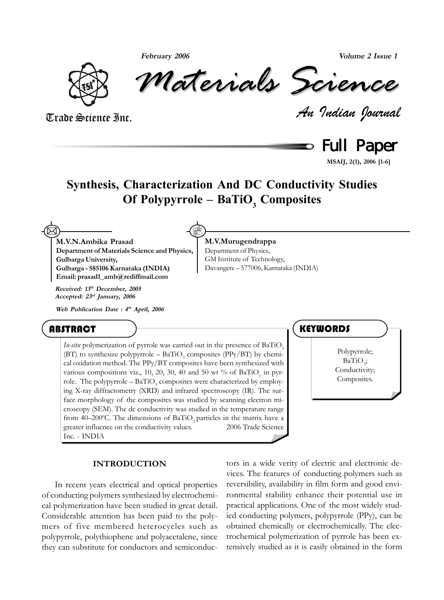**February 2006 Volume 2 Issue 1**



*Materials Science Materials Science*

*An Indian Journal* Trade Science Inc.

Full Paper

**MSAIJ, 2(1), 2006 [1-6]**

### **Synthesis, Characterization And DC Conductivity Studies** Of Polypyrrole – BaTiO<sub>3</sub> Composites

**M.V.Murugendrappa** Department of Physics, GM Institute of Technology,

Davangere – 577006, Karnataka (INDIA)

**M.V.N.Ambika Prasad Department of Materials Science and Physics, Gulbarga University, Gulbarga - 585106 Karnataka (INDIA) Email: prasad1\_amb@rediffmail.com**  $\boxtimes$ 

**Received: 13th December, 2005 Accepted: 23rd January, 2006**

**Web Publication Date : 4th April, 2006**

### ABSTRACT <del>) and the contract of the contract of the contract of the contract of the contract of the contract of the contract of the contract of the contract of the contract of the contract of the contract of the contract o</del>

*In-situ* polymerization of pyrrole was carried out in the presence of BaTiO<sub>3</sub> (BT) to synthesize polypyrrole  $-$  BaTiO<sub>3</sub> composites (PPy/BT) by chemical oxidation method. The PPy/BT composites have been synthesized with various compositions viz., 10, 20, 30, 40 and 50 wt % of BaTiO<sub>3</sub> in pyrrole. The polypyrrole –  $BaTiO_3$  composites were characterized by employing X-ray diffractometry (XRD) and infrared spectroscopy (IR). The surface morphology of the composites was studied by scanning electron microscopy (SEM). The dc conductivity was studied in the temperature range from 40–200°C. The dimensions of BaTiO<sub>3</sub> particles in the matrix have a greater influence on the conductivity values.  $\bullet$  2006 Trade Science Inc. - INDIA

Polypyrrole;  $BaTiO<sub>3</sub>$ ; Conductivity; Composites.

### **INTRODUCTION**

In recent years electrical and optical properties of conducting polymers synthesized by electrochemical polymerization have been studied in great detail. Considerable attention has been paid to the polymers of five membered heterocycles such as polypyrrole, polythiophene and polyacetalene, since they can substitute for conductors and semiconductors in a wide verity of electric and electronic devices. The features of conducting polymers such as reversibility, availability in film form and good environmental stability enhance their potential use in practical applications. One of the most widely studied conducting polymers, polypyrrole (PPy), can be obtained chemically or electrochemically. The electrochemical polymerization of pyrrole has been extensively studied as it is easily obtained in the form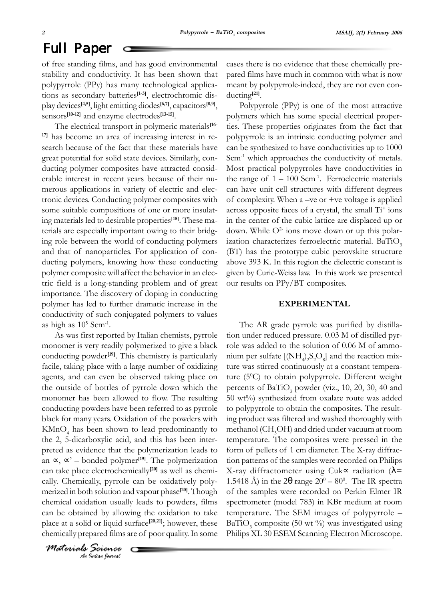of free standing films, and has good environmental stability and conductivity. It has been shown that polypyrrole (PPy) has many technological applications as secondary batteries**[1-3]**, electrochromic display devices**[4,5]**, light emitting diodes**[6,7]**, capacitors**[8,9]**, sensors**[10-12]** and enzyme electrodes**[13-15]**.

The electrical transport in polymeric materials**[16- 17]** has become an area of increasing interest in research because of the fact that these materials have great potential for solid state devices. Similarly, conducting polymer composites have attracted considerable interest in recent years because of their numerous applications in variety of electric and electronic devices. Conducting polymer composites with some suitable compositions of one or more insulating materials led to desirable properties**[18]**. These materials are especially important owing to their bridging role between the world of conducting polymers and that of nanoparticles. For application of conducting polymers, knowing how these conducting polymer composite will affect the behavior in an electric field is a long-standing problem and of great importance. The discovery of doping in conducting polymer has led to further dramatic increase in the conductivity of such conjugated polymers to values as high as  $10^5$  Scm<sup>-1</sup>.

As was first reported by Italian chemists, pyrrole monomer is very readily polymerized to give a black conducting powder**[19]**. This chemistry is particularly facile, taking place with a large number of oxidizing agents, and can even be observed taking place on the outside of bottles of pyrrole down which the monomer has been allowed to flow. The resulting conducting powders have been referred to as pyrrole black for many years. Oxidation of the powders with KMnO4 has been shown to lead predominantly to the 2, 5-dicarboxylic acid, and this has been interpreted as evidence that the polymerization leads to an ∝, ∝' – bonded polymer**[19]**. The polymerization can take place electrochemically**[20]** as well as chemically. Chemically, pyrrole can be oxidatively polymerized in both solution and vapour phase**[20]**. Though chemical oxidation usually leads to powders, films can be obtained by allowing the oxidation to take place at a solid or liquid surface**[20,21]**; however, these chemically prepared films are of poor quality. In some

c

*An Indian Journal Materials Science*

cases there is no evidence that these chemically prepared films have much in common with what is now meant by polypyrrole-indeed, they are not even conducting**[21]**.

Polypyrrole (PPy) is one of the most attractive polymers which has some special electrical properties. These properties originates from the fact that polypyrrole is an intrinsic conducting polymer and can be synthesized to have conductivities up to 1000 Scm<sup>-1</sup> which approaches the conductivity of metals. Most practical polypyrroles have conductivities in the range of  $1 - 100$  Scm<sup>-1</sup>. Ferroelectric materials can have unit cell structures with different degrees of complexity. When a –ve or +ve voltage is applied across opposite faces of a crystal, the small Ti<sup>+</sup> ions in the center of the cubic lattice are displaced up or down. While  $O<sup>2</sup>$  ions move down or up this polarization characterizes ferroelectric material.  $BaTiO<sub>3</sub>$ (BT) has the prototype cubic perovskite structure above 393 K. In this region the dielectric constant is given by Curie-Weiss law. In this work we presented our results on PPy/BT composites.

### **EXPERIMENTAL**

The AR grade pyrrole was purified by distillation under reduced pressure. 0.03 M of distilled pyrrole was added to the solution of 0.06 M of ammonium per sulfate  $\text{[(NH)}_2\text{)}$   $\text{S}_2\text{O}_8$ ] and the reaction mixture was stirred continuously at a constant temperature (5<sup>0</sup>C) to obtain polypyrrole. Different weight percents of  $BaTiO_3$  powder (viz., 10, 20, 30, 40 and 50 wt%) synthesized from oxalate route was added to polypyrrole to obtain the composites. The resulting product was filtered and washed thoroughly with methanol ( $\mathrm{CH_{3}OH})$  and dried under vacuum at room temperature. The composites were pressed in the form of pellets of 1 cm diameter. The X-ray diffraction patterns of the samples were recorded on Philips X-ray diffractometer using Cuk∝ radiation (λ= 1.5418 Å) in the 2 $\theta$  range 20<sup>0</sup> – 80<sup>0</sup>. The IR spectra of the samples were recorded on Perkin Elmer IR spectrometer (model 783) in KBr medium at room temperature. The SEM images of polypyrrole –  $BaTiO_3$  composite (50 wt %) was investigated using Philips XL 30 ESEM Scanning Electron Microscope.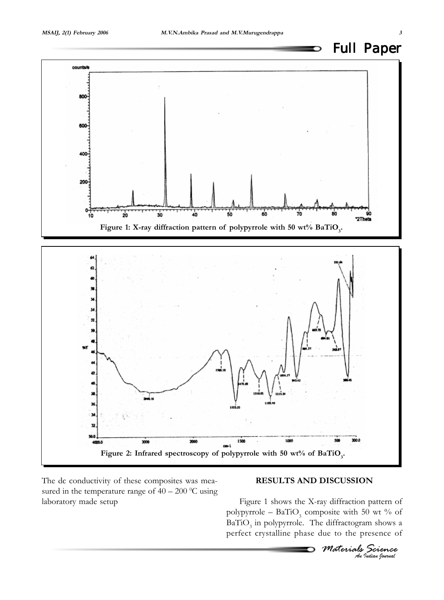

D



The dc conductivity of these composites was measured in the temperature range of  $40 - 200$  °C using laboratory made setup

### **RESULTS AND DISCUSSION**

Figure 1 shows the X-ray diffraction pattern of polypyrrole –  $BaTiO_3$  composite with 50 wt % of  $BaTiO<sub>3</sub>$  in polypyrrole. The diffractogram shows a perfect crystalline phase due to the presence of

*Materials Science An Indian Journal*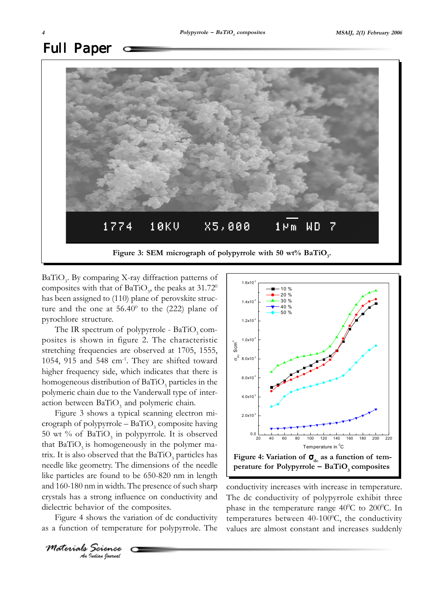# Full Paper



BaTiO<sub>3</sub>. By comparing X-ray diffraction patterns of composites with that of BaTiO<sub>3</sub>, the peaks at  $31.72^{\circ}$ has been assigned to (110) plane of perovskite structure and the one at  $56.40^{\circ}$  to the (222) plane of pyrochlore structure.

The IR spectrum of polypyrrole -  $BaTiO<sub>3</sub>$  composites is shown in figure 2. The characteristic stretching frequencies are observed at 1705, 1555, 1054, 915 and 548 cm-1. They are shifted toward higher frequency side, which indicates that there is homogeneous distribution of  $BaTiO_3$  particles in the polymeric chain due to the Vanderwall type of interaction between  $BaTiO_3$  and polymeric chain.

Figure 3 shows a typical scanning electron micrograph of polypyrrole –  $BaTiO_3$  composite having 50 wt % of  $BaTiO<sub>3</sub>$  in polypyrrole. It is observed that  $BaTiO<sub>3</sub>$  is homogeneously in the polymer matrix. It is also observed that the  $BaTiO_3$  particles has needle like geometry. The dimensions of the needle like particles are found to be 650-820 nm in length and 160-180 nm in width. The presence of such sharp crystals has a strong influence on conductivity and dielectric behavior of the composites.

Figure 4 shows the variation of dc conductivity as a function of temperature for polypyrrole. The



conductivity increases with increase in temperature. The dc conductivity of polypyrrole exhibit three phase in the temperature range  $40^{\circ}$ C to  $200^{\circ}$ C. In temperatures between  $40-100^{\circ}$ C, the conductivity values are almost constant and increases suddenly

*An Indian Journal Materials Science*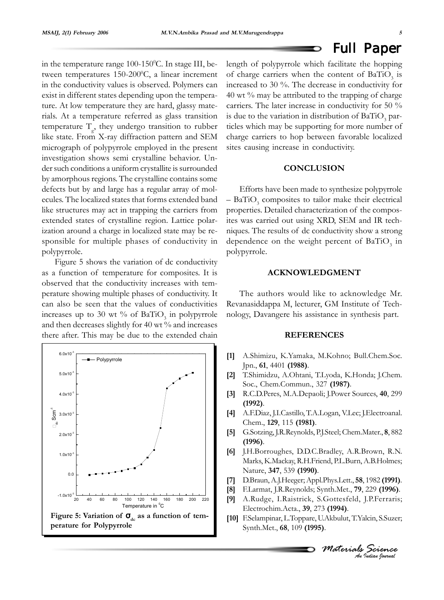#### Full Paper O

in the temperature range  $100-150$ <sup>o</sup>C. In stage III, between temperatures  $150-200$ <sup>o</sup>C, a linear increment in the conductivity values is observed. Polymers can exist in different states depending upon the temperature. At low temperature they are hard, glassy materials. At a temperature referred as glass transition temperature  $T_g$ , they undergo transition to rubber like state. From X-ray diffraction pattern and SEM micrograph of polypyrrole employed in the present investigation shows semi crystalline behavior. Under such conditions a uniform crystallite is surrounded by amorphous regions. The crystalline contains some defects but by and large has a regular array of molecules. The localized states that forms extended band like structures may act in trapping the carriers from extended states of crystalline region. Lattice polarization around a charge in localized state may be responsible for multiple phases of conductivity in polypyrrole.

Figure 5 shows the variation of dc conductivity as a function of temperature for composites. It is observed that the conductivity increases with temperature showing multiple phases of conductivity. It can also be seen that the values of conductivities increases up to 30 wt % of  $BaTiO_3$  in polypyrrole and then decreases slightly for 40 wt % and increases there after. This may be due to the extended chain



length of polypyrrole which facilitate the hopping of charge carriers when the content of  $BaTiO_3$  is increased to 30 %. The decrease in conductivity for  $40$  wt  $\%$  may be attributed to the trapping of charge carriers. The later increase in conductivity for 50 % is due to the variation in distribution of  $\operatorname{BaTiO}_3$  particles which may be supporting for more number of charge carriers to hop between favorable localized sites causing increase in conductivity.

### **CONCLUSION**

Efforts have been made to synthesize polypyrrole  $-$  BaTiO<sub>3</sub> composites to tailor make their electrical properties. Detailed characterization of the composites was carried out using XRD, SEM and IR techniques. The results of dc conductivity show a strong dependence on the weight percent of  $BaTiO_3$  in polypyrrole.

### **ACKNOWLEDGMENT**

The authors would like to acknowledge Mr. Revanasiddappa M, lecturer, GM Institute of Technology, Davangere his assistance in synthesis part.

### **REFERENCES**

- **[1]** A.Shimizu, K.Yamaka, M.Kohno; Bull.Chem.Soc. Jpn., **61**, 4401 **(1988)**.
- **[2]** T.Shimidzu, A.Ohtani, T.Lyoda, K.Honda; J.Chem. Soc., Chem.Commun., 327 **(1987)**.
- **[3]** R.C.D.Peres, M.A.Depaoli; J.Power Sources, **40**, 299 **(1992)**.
- **[4]** A.F.Diaz, J.I.Castillo, T.A.Logan, V.Lec; J.Electroanal. Chem., **129**, 115 **(1981)**.
- **[5]** G.Sotzing, J.R.Reynolds, P.J.Steel; Chem.Mater., **8**, 882 **(1996)**.
- **[6]** J.H.Borroughes, D.D.C.Bradley, A.R.Brown, R.N. Marks, K.Mackay, R.H.Friend, P.L.Burn, A.B.Holmes; Nature, **347**, 539 **(1990)**.
- **[7]** D.Braun, A.J.Heeger; Appl.Phys.Lett., **58**, 1982 **(1991)**.
- **[8]** F.Larmat, J.R.Reynolds; Synth.Met., **79**, 229 **(1996)**.
- **[9]** A.Rudge, I.Raistrick, S.Gottesfeld, J.P.Ferraris; Electrochim.Acta., **39**, 273 **(1994)**.
- **[10]** F.Selampinar, L.Toppare, U.Akbulut, T.Yalcin, S.Suzer; Synth.Met., **68**, 109 **(1995)**.

*Materials Science An Indian Journal*